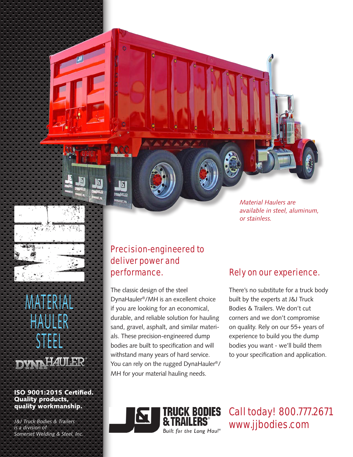*Material Haulers are available in steel, aluminum, or stainless.*

# MATERIAI HAULER STEEL

Maria

H

# **DYNI HAULER**

ISO 9001:2015 Certified. Quality products, quality workmanship.

*J&J Truck Bodies & Trailers is a division of Somerset Welding & Steel, Inc.*

### Precision-engineered to deliver power and performance.

The classic design of the steel DynaHauler®/MH is an excellent choice if you are looking for an economical, durable, and reliable solution for hauling sand, gravel, asphalt, and similar materials. These precision-engineered dump bodies are built to specification and will withstand many years of hard service. You can rely on the rugged DynaHauler®/ MH for your material hauling needs.

### Rely on our experience.

There's no substitute for a truck body built by the experts at J&J Truck Bodies & Trailers. We don't cut corners and we don't compromise on quality. Rely on our 55+ years of experience to build you the dump bodies you want - we'll build them to your specification and application.



Call today! 800.777.2671 www.jjbodies.com